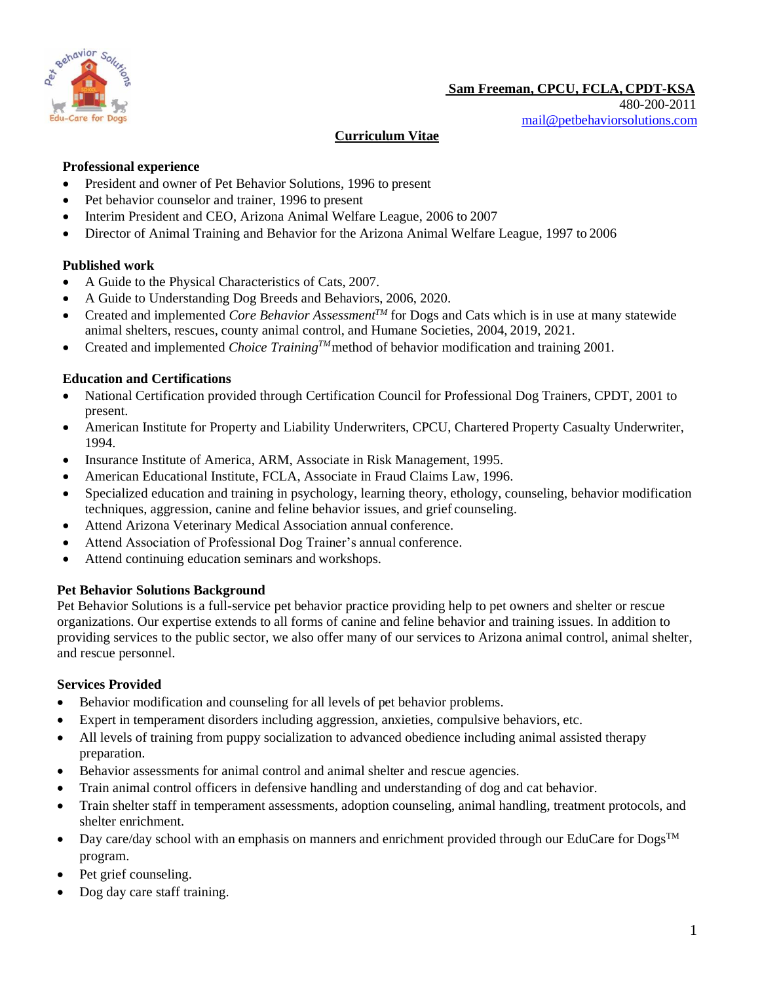

# **Curriculum Vitae**

# **Professional experience**

- President and owner of Pet Behavior Solutions, 1996 to present
- Pet behavior counselor and trainer, 1996 to present
- Interim President and CEO, Arizona Animal Welfare League, 2006 to 2007
- Director of Animal Training and Behavior for the Arizona Animal Welfare League, 1997 to 2006

#### **Published work**

- A Guide to the Physical Characteristics of Cats, 2007.
- A Guide to Understanding Dog Breeds and Behaviors, 2006, 2020.
- Created and implemented *Core Behavior AssessmentTM* for Dogs and Cats which is in use at many statewide animal shelters, rescues, county animal control, and Humane Societies, 2004, 2019, 2021.
- Created and implemented *Choice Training<sup>TM</sup>* method of behavior modification and training 2001.

# **Education and Certifications**

- National Certification provided through Certification Council for Professional Dog Trainers, CPDT, 2001 to present.
- American Institute for Property and Liability Underwriters, CPCU, Chartered Property Casualty Underwriter, 1994.
- Insurance Institute of America, ARM, Associate in Risk Management, 1995.
- American Educational Institute, FCLA, Associate in Fraud Claims Law, 1996.
- Specialized education and training in psychology, learning theory, ethology, counseling, behavior modification techniques, aggression, canine and feline behavior issues, and grief counseling.
- Attend Arizona Veterinary Medical Association annual conference.
- Attend Association of Professional Dog Trainer's annual conference.
- Attend continuing education seminars and workshops.

# **Pet Behavior Solutions Background**

Pet Behavior Solutions is a full-service pet behavior practice providing help to pet owners and shelter or rescue organizations. Our expertise extends to all forms of canine and feline behavior and training issues. In addition to providing services to the public sector, we also offer many of our services to Arizona animal control, animal shelter, and rescue personnel.

#### **Services Provided**

- Behavior modification and counseling for all levels of pet behavior problems.
- Expert in temperament disorders including aggression, anxieties, compulsive behaviors, etc.
- All levels of training from puppy socialization to advanced obedience including animal assisted therapy preparation.
- Behavior assessments for animal control and animal shelter and rescue agencies.
- Train animal control officers in defensive handling and understanding of dog and cat behavior.
- Train shelter staff in temperament assessments, adoption counseling, animal handling, treatment protocols, and shelter enrichment.
- Day care/day school with an emphasis on manners and enrichment provided through our EduCare for Dogs<sup>TM</sup> program.
- Pet grief counseling.
- Dog day care staff training.